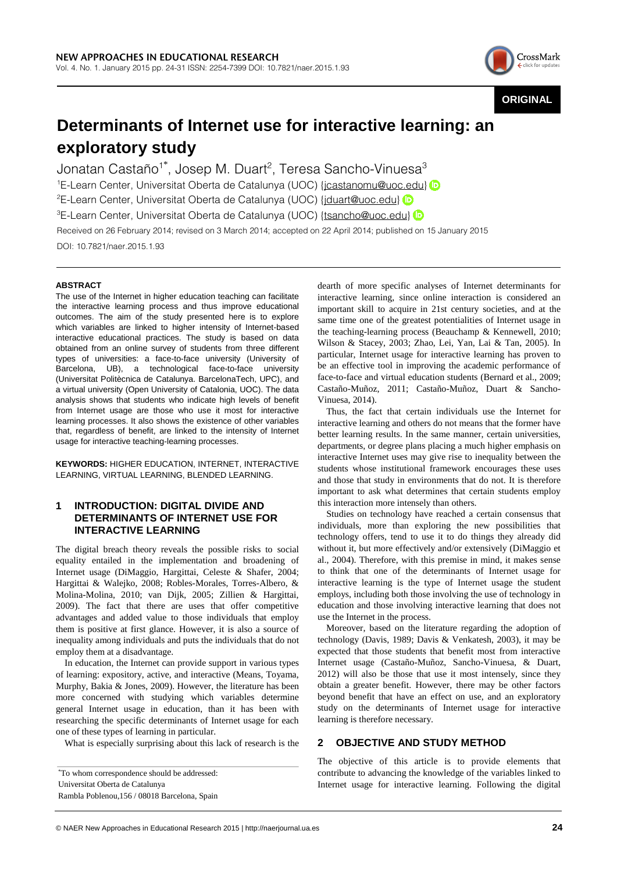

**ORIGINAL**

# **Determinants of Internet use for interactive learning: an exploratory study**

Jonatan Castaño $^{\text{\tiny 1}}$ ", Josep M. Duart $^{\text{\tiny 2}}$ , Teresa Sancho-Vinuesa $^{\text{\tiny 3}}$ <sup>1</sup>E-LearnCenter, Universitat Oberta de Catalunya (UOC) {jcastanomu@uoc.edu} <sup>2</sup>E-LearnCenter, Universitat Oberta de Catalunya (UOC) {jduart@uoc.edu} <sup>3</sup>E-LearnCenter, Universitat Oberta de Catalunya (UOC) {tsancho@uoc.edu} Received on 26 February 2014; revised on 3 March 2014; accepted on 22 April 2014; published on 15 January 2015 DOI: 10.7821/naer.2015.1.93

## **ABSTRACT**

The use of the Internet in higher education teaching can facilitate the interactive learning process and thus improve educational outcomes. The aim of the study presented here is to explore which variables are linked to higher intensity of Internet-based interactive educational practices. The study is based on data obtained from an online survey of students from three different types of universities: a face-to-face university (University of Barcelona, UB), a technological face-to-face university (Universitat Politècnica de Catalunya. BarcelonaTech, UPC), and a virtual university (Open University of Catalonia, UOC). The data analysis shows that students who indicate high levels of benefit from Internet usage are those who use it most for interactive learning processes. It also shows the existence of other variables that, regardless of benefit, are linked to the intensity of Internet usage for interactive teaching-learning processes.

**KEYWORDS:** HIGHER EDUCATION, INTERNET, INTERACTIVE LEARNING, VIRTUAL LEARNING, BLENDED LEARNING.

## **1 INTRODUCTION: DIGITAL DIVIDE AND DETERMINANTS OF INTERNET USE FOR INTERACTIVE LEARNING**

The digital breach theory reveals the possible risks to social equality entailed in the implementation and broadening of Internet usage (DiMaggio, Hargittai, Celeste & Shafer, 2004; Hargittai & Walejko, 2008; Robles-Morales, Torres-Albero, & Molina-Molina, 2010; van Dijk, 2005; Zillien & Hargittai, 2009). The fact that there are uses that offer competitive advantages and added value to those individuals that employ them is positive at first glance. However, it is also a source of inequality among individuals and puts the individuals that do not employ them at a disadvantage.

In education, the Internet can provide support in various types of learning: expository, active, and interactive (Means, Toyama, Murphy, Bakia & Jones, 2009). However, the literature has been more concerned with studying which variables determine general Internet usage in education, than it has been with researching the specific determinants of Internet usage for each one of these types of learning in particular.

What is especially surprising about this lack of research is the

dearth of more specific analyses of Internet determinants for interactive learning, since online interaction is considered an important skill to acquire in 21st century societies, and at the same time one of the greatest potentialities of Internet usage in the teaching-learning process (Beauchamp & Kennewell, 2010; Wilson & Stacey, 2003; Zhao, Lei, Yan, Lai & Tan, 2005). In particular, Internet usage for interactive learning has proven to be an effective tool in improving the academic performance of face-to-face and virtual education students (Bernard et al., 2009; Castaño-Muñoz, 2011; Castaño-Muñoz, Duart & Sancho-Vinuesa, 2014).

Thus, the fact that certain individuals use the Internet for interactive learning and others do not means that the former have better learning results. In the same manner, certain universities, departments, or degree plans placing a much higher emphasis on interactive Internet uses may give rise to inequality between the students whose institutional framework encourages these uses and those that study in environments that do not. It is therefore important to ask what determines that certain students employ this interaction more intensely than others.

Studies on technology have reached a certain consensus that individuals, more than exploring the new possibilities that technology offers, tend to use it to do things they already did without it, but more effectively and/or extensively (DiMaggio et al., 2004). Therefore, with this premise in mind, it makes sense to think that one of the determinants of Internet usage for interactive learning is the type of Internet usage the student employs, including both those involving the use of technology in education and those involving interactive learning that does not use the Internet in the process.

Moreover, based on the literature regarding the adoption of technology (Davis, 1989; Davis & Venkatesh, 2003), it may be expected that those students that benefit most from interactive Internet usage (Castaño-Muñoz, Sancho-Vinuesa, & Duart, 2012) will also be those that use it most intensely, since they obtain a greater benefit. However, there may be other factors beyond benefit that have an effect on use, and an exploratory study on the determinants of Internet usage for interactive learning is therefore necessary.

## **2 OBJECTIVE AND STUDY METHOD**

The objective of this article is to provide elements that contribute to advancing the knowledge of the variables linked to Internet usage for interactive learning. Following the digital

<sup>\*</sup>To whom correspondence should be addressed: Universitat Oberta de Catalunya Rambla Poblenou,156 / 08018 Barcelona, Spain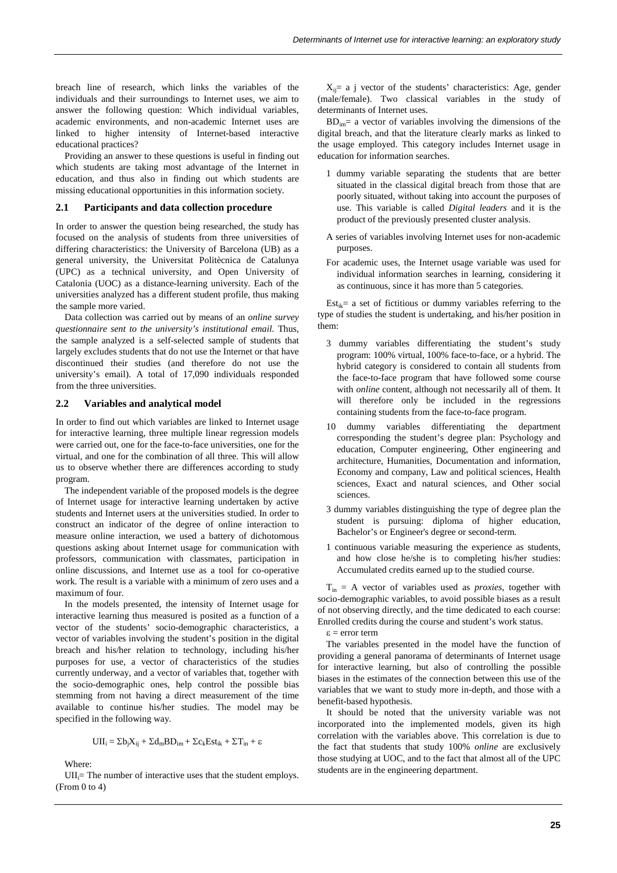breach line of research, which links the variables of the individuals and their surroundings to Internet uses, we aim to answer the following question: Which individual variables, academic environments, and non-academic Internet uses are linked to higher intensity of Internet-based interactive educational practices?

Providing an answer to these questions is useful in finding out which students are taking most advantage of the Internet in education, and thus also in finding out which students are missing educational opportunities in this information society.

#### **2.1 Participants and data collection procedure**

In order to answer the question being researched, the study has focused on the analysis of students from three universities of differing characteristics: the University of Barcelona (UB) as a general university, the Universitat Politècnica de Catalunya (UPC) as a technical university, and Open University of Catalonia (UOC) as a distance-learning university. Each of the universities analyzed has a different student profile, thus making the sample more varied.

Data collection was carried out by means of an *online survey questionnaire sent to the university's institutional email.* Thus, the sample analyzed is a self-selected sample of students that largely excludes students that do not use the Internet or that have discontinued their studies (and therefore do not use the university's email). A total of 17,090 individuals responded from the three universities.

## **2.2 Variables and analytical model**

In order to find out which variables are linked to Internet usage for interactive learning, three multiple linear regression models were carried out, one for the face-to-face universities, one for the virtual, and one for the combination of all three. This will allow us to observe whether there are differences according to study program.

The independent variable of the proposed models is the degree of Internet usage for interactive learning undertaken by active students and Internet users at the universities studied. In order to construct an indicator of the degree of online interaction to measure online interaction, we used a battery of dichotomous questions asking about Internet usage for communication with professors, communication with classmates, participation in online discussions, and Internet use as a tool for co-operative work. The result is a variable with a minimum of zero uses and a maximum of four.

In the models presented, the intensity of Internet usage for interactive learning thus measured is posited as a function of a vector of the students' socio-demographic characteristics, a vector of variables involving the student's position in the digital breach and his/her relation to technology, including his/her purposes for use, a vector of characteristics of the studies currently underway, and a vector of variables that, together with the socio-demographic ones, help control the possible bias stemming from not having a direct measurement of the time available to continue his/her studies. The model may be specified in the following way.

$$
UII_i = \Sigma b_j X_{ij} + \Sigma d_m B D_{im} + \Sigma c_k Est_{ik} + \Sigma T_{in} + \epsilon
$$

Where:

 $UII_i$ = The number of interactive uses that the student employs. (From 0 to 4)

 $X_{ii}$ = a j vector of the students' characteristics: Age, gender (male/female). Two classical variables in the study of determinants of Internet uses.

 $BD<sub>im</sub>$  a vector of variables involving the dimensions of the digital breach, and that the literature clearly marks as linked to the usage employed. This category includes Internet usage in education for information searches.

- 1 dummy variable separating the students that are better situated in the classical digital breach from those that are poorly situated, without taking into account the purposes of use. This variable is called *Digital leaders* and it is the product of the previously presented cluster analysis.
- A series of variables involving Internet uses for non-academic purposes.
- For academic uses, the Internet usage variable was used for individual information searches in learning, considering it as continuous, since it has more than 5 categories.

 $Est_{ik}=$  a set of fictitious or dummy variables referring to the type of studies the student is undertaking, and his/her position in them:

- 3 dummy variables differentiating the student's study program: 100% virtual, 100% face-to-face, or a hybrid. The hybrid category is considered to contain all students from the face-to-face program that have followed some course with *online* content, although not necessarily all of them. It will therefore only be included in the regressions containing students from the face-to-face program.
- 10 dummy variables differentiating the department corresponding the student's degree plan: Psychology and education, Computer engineering, Other engineering and architecture, Humanities, Documentation and information, Economy and company, Law and political sciences, Health sciences, Exact and natural sciences, and Other social sciences.
- 3 dummy variables distinguishing the type of degree plan the student is pursuing: diploma of higher education, Bachelor's or Engineer's degree or second-term.
- 1 continuous variable measuring the experience as students, and how close he/she is to completing his/her studies: Accumulated credits earned up to the studied course.

 $T_{in}$  = A vector of variables used as *proxies*, together with socio-demographic variables, to avoid possible biases as a result of not observing directly, and the time dedicated to each course: Enrolled credits during the course and student's work status.

ε = error term

The variables presented in the model have the function of providing a general panorama of determinants of Internet usage for interactive learning, but also of controlling the possible biases in the estimates of the connection between this use of the variables that we want to study more in-depth, and those with a benefit-based hypothesis.

It should be noted that the university variable was not incorporated into the implemented models, given its high correlation with the variables above. This correlation is due to the fact that students that study 100% *online* are exclusively those studying at UOC, and to the fact that almost all of the UPC students are in the engineering department.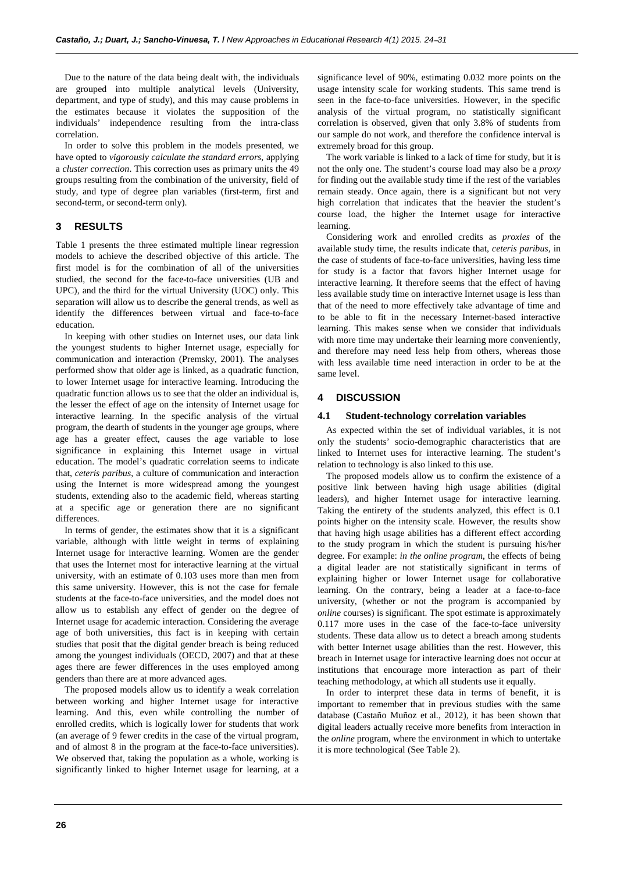Due to the nature of the data being dealt with, the individuals are grouped into multiple analytical levels (University, department, and type of study), and this may cause problems in the estimates because it violates the supposition of the individuals' independence resulting from the intra-class correlation.

In order to solve this problem in the models presented, we have opted to *vigorously calculate the standard errors,* applying a *cluster correction*. This correction uses as primary units the 49 groups resulting from the combination of the university, field of study, and type of degree plan variables (first-term, first and second-term, or second-term only).

## **3 RESULTS**

Table 1 presents the three estimated multiple linear regression models to achieve the described objective of this article. The first model is for the combination of all of the universities studied, the second for the face-to-face universities (UB and UPC), and the third for the virtual University (UOC) only. This separation will allow us to describe the general trends, as well as identify the differences between virtual and face-to-face education.

In keeping with other studies on Internet uses, our data link the youngest students to higher Internet usage, especially for communication and interaction (Premsky, 2001). The analyses performed show that older age is linked, as a quadratic function, to lower Internet usage for interactive learning. Introducing the quadratic function allows us to see that the older an individual is, the lesser the effect of age on the intensity of Internet usage for interactive learning. In the specific analysis of the virtual program, the dearth of students in the younger age groups, where age has a greater effect, causes the age variable to lose significance in explaining this Internet usage in virtual education. The model's quadratic correlation seems to indicate that, *ceteris paribus*, a culture of communication and interaction using the Internet is more widespread among the youngest students, extending also to the academic field, whereas starting at a specific age or generation there are no significant differences.

In terms of gender, the estimates show that it is a significant variable, although with little weight in terms of explaining Internet usage for interactive learning. Women are the gender that uses the Internet most for interactive learning at the virtual university, with an estimate of 0.103 uses more than men from this same university. However, this is not the case for female students at the face-to-face universities, and the model does not allow us to establish any effect of gender on the degree of Internet usage for academic interaction. Considering the average age of both universities, this fact is in keeping with certain studies that posit that the digital gender breach is being reduced among the youngest individuals (OECD, 2007) and that at these ages there are fewer differences in the uses employed among genders than there are at more advanced ages.

The proposed models allow us to identify a weak correlation between working and higher Internet usage for interactive learning. And this, even while controlling the number of enrolled credits, which is logically lower for students that work (an average of 9 fewer credits in the case of the virtual program, and of almost 8 in the program at the face-to-face universities). We observed that, taking the population as a whole, working is significantly linked to higher Internet usage for learning, at a

significance level of 90%, estimating 0.032 more points on the usage intensity scale for working students. This same trend is seen in the face-to-face universities. However, in the specific analysis of the virtual program, no statistically significant correlation is observed, given that only 3.8% of students from our sample do not work, and therefore the confidence interval is extremely broad for this group.

The work variable is linked to a lack of time for study, but it is not the only one. The student's course load may also be a *proxy* for finding out the available study time if the rest of the variables remain steady. Once again, there is a significant but not very high correlation that indicates that the heavier the student's course load, the higher the Internet usage for interactive learning.

Considering work and enrolled credits as *proxies* of the available study time, the results indicate that, *ceteris paribus*, in the case of students of face-to-face universities, having less time for study is a factor that favors higher Internet usage for interactive learning. It therefore seems that the effect of having less available study time on interactive Internet usage is less than that of the need to more effectively take advantage of time and to be able to fit in the necessary Internet-based interactive learning. This makes sense when we consider that individuals with more time may undertake their learning more conveniently, and therefore may need less help from others, whereas those with less available time need interaction in order to be at the same level.

## **4 DISCUSSION**

### **4.1 Student-technology correlation variables**

As expected within the set of individual variables, it is not only the students' socio-demographic characteristics that are linked to Internet uses for interactive learning. The student's relation to technology is also linked to this use.

The proposed models allow us to confirm the existence of a positive link between having high usage abilities (digital leaders), and higher Internet usage for interactive learning. Taking the entirety of the students analyzed, this effect is 0.1 points higher on the intensity scale. However, the results show that having high usage abilities has a different effect according to the study program in which the student is pursuing his/her degree. For example: *in the online program*, the effects of being a digital leader are not statistically significant in terms of explaining higher or lower Internet usage for collaborative learning. On the contrary, being a leader at a face-to-face university, (whether or not the program is accompanied by *online* courses) is significant. The spot estimate is approximately 0.117 more uses in the case of the face-to-face university students. These data allow us to detect a breach among students with better Internet usage abilities than the rest. However, this breach in Internet usage for interactive learning does not occur at institutions that encourage more interaction as part of their teaching methodology, at which all students use it equally.

In order to interpret these data in terms of benefit, it is important to remember that in previous studies with the same database (Castaño Muñoz et al., 2012), it has been shown that digital leaders actually receive more benefits from interaction in the *online* program, where the environment in which to untertake it is more technological (See Table 2).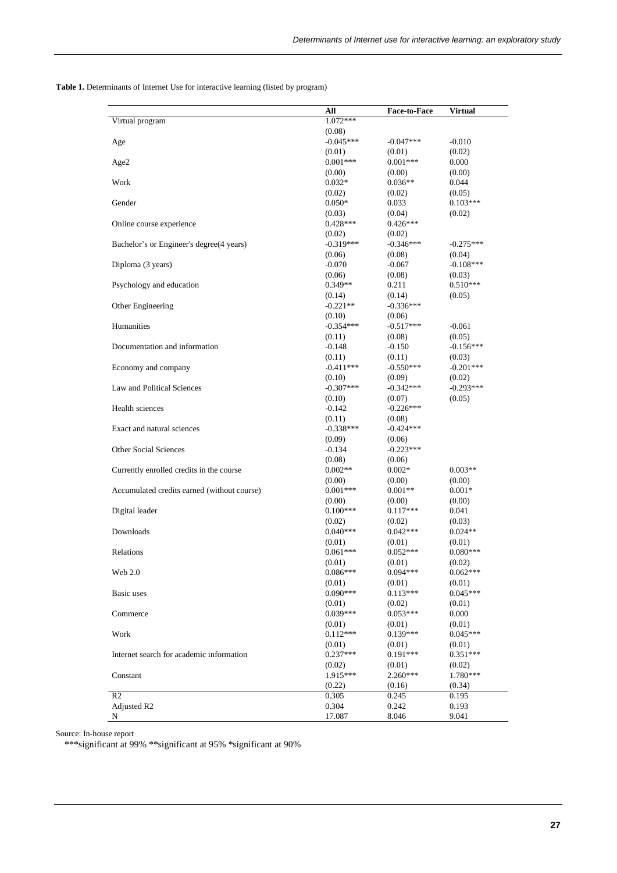**Table 1.** Determinants of Internet Use for interactive learning (listed by program)

|                                             | All                  | <b>Face-to-Face</b>   | Virtual              |
|---------------------------------------------|----------------------|-----------------------|----------------------|
| Virtual program                             | 1.072***             |                       |                      |
|                                             | (0.08)               |                       |                      |
| Age                                         | $-0.045***$          | $-0.047***$           | $-0.010$             |
|                                             | (0.01)               | (0.01)                | (0.02)               |
| Age2                                        | $0.001***$           | $0.001***$            | 0.000                |
|                                             | (0.00)               | (0.00)                | (0.00)               |
| Work                                        | $0.032*$             | $0.036**$             | 0.044                |
|                                             | (0.02)               | (0.02)                | (0.05)               |
| Gender                                      | $0.050*$             | 0.033                 | $0.103***$           |
|                                             | (0.03)               | (0.04)                | (0.02)               |
| Online course experience                    | $0.428***$           | $0.426***$            |                      |
|                                             | (0.02)               | (0.02)                |                      |
| Bachelor's or Engineer's degree(4 years)    | $-0.319***$          | $-0.346***$           | $-0.275***$          |
|                                             | (0.06)               | (0.08)                | (0.04)               |
| Diploma (3 years)                           | $-0.070$             | $-0.067$              | $-0.108***$          |
|                                             | (0.06)               | (0.08)                | (0.03)               |
| Psychology and education                    | $0.349**$            | 0.211                 | $0.510***$           |
|                                             | (0.14)               | (0.14)                | (0.05)               |
| Other Engineering                           | $-0.221**$           | $-0.336***$           |                      |
|                                             | (0.10)               |                       |                      |
| Humanities                                  | $-0.354***$          | (0.06)<br>$-0.517***$ |                      |
|                                             | (0.11)               |                       | $-0.061$             |
|                                             |                      | (0.08)                | (0.05)               |
| Documentation and information               | $-0.148$             | $-0.150$              | $-0.156***$          |
|                                             | (0.11)               | (0.11)                | (0.03)               |
| Economy and company                         | $-0.411***$          | $-0.550***$           | $-0.201***$          |
|                                             | (0.10)               | (0.09)                | (0.02)               |
| Law and Political Sciences                  | $-0.307***$          | $-0.342***$           | $-0.293***$          |
|                                             | (0.10)               | (0.07)                | (0.05)               |
| Health sciences                             | $-0.142$             | $-0.226***$           |                      |
|                                             | (0.11)               | (0.08)                |                      |
| Exact and natural sciences                  | $-0.338***$          | $-0.424***$           |                      |
|                                             | (0.09)               | (0.06)                |                      |
| <b>Other Social Sciences</b>                | $-0.134$             | $-0.223***$           |                      |
|                                             | (0.08)               | (0.06)                |                      |
| Currently enrolled credits in the course    | $0.002**$            | $0.002*$              | $0.003**$            |
|                                             | (0.00)               | (0.00)                | (0.00)               |
| Accumulated credits earned (without course) | $0.001***$           | $0.001**$             | $0.001*$             |
|                                             | (0.00)<br>$0.100***$ | (0.00)                | (0.00)               |
| Digital leader                              |                      | $0.117***$            | 0.041                |
|                                             | (0.02)<br>$0.040***$ | (0.02)<br>$0.042***$  | (0.03)<br>$0.024**$  |
| Downloads                                   |                      |                       |                      |
|                                             | (0.01)<br>$0.061***$ | (0.01)<br>$0.052***$  | (0.01)<br>$0.080***$ |
| Relations                                   |                      |                       |                      |
| Web 2.0                                     | (0.01)<br>$0.086***$ | (0.01)<br>$0.094***$  | (0.02)<br>$0.062***$ |
|                                             | (0.01)               | (0.01)                | (0.01)               |
| Basic uses                                  | $0.090***$           | $0.113***$            | $0.045***$           |
|                                             |                      |                       |                      |
| Commerce                                    | (0.01)<br>$0.039***$ | (0.02)<br>$0.053***$  | (0.01)<br>0.000      |
|                                             |                      |                       |                      |
|                                             | (0.01)               | (0.01)<br>$0.139***$  | (0.01)               |
| Work                                        | $0.112***$           |                       | $0.045***$           |
|                                             | (0.01)<br>$0.237***$ | (0.01)<br>$0.191***$  | (0.01)               |
| Internet search for academic information    |                      |                       | $0.351***$           |
|                                             | (0.02)               | (0.01)<br>2.260***    | (0.02)<br>1.780***   |
| Constant                                    | 1.915***             |                       |                      |
| R <sub>2</sub>                              | (0.22)               | (0.16)                | (0.34)               |
|                                             | 0.305<br>0.304       | 0.245<br>0.242        | 0.195                |
| Adjusted R2<br>N                            | 17.087               | 8.046                 | 0.193<br>9.041       |
|                                             |                      |                       |                      |

Source: In-house report

\*\*\*significant at 99% \*\*significant at 95% \*significant at 90%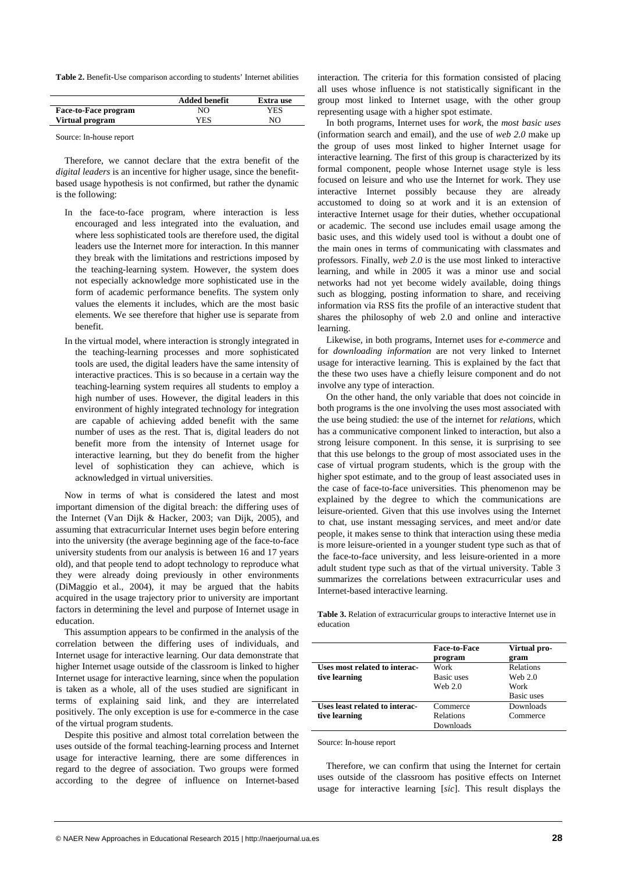**Table 2.** Benefit-Use comparison according to students' Internet abilities

|                             | <b>Added benefit</b> | Extra use |
|-----------------------------|----------------------|-----------|
| <b>Face-to-Face program</b> | NO                   | YES       |
| Virtual program             | YES                  | NO        |
|                             |                      |           |

Source: In-house report

Therefore, we cannot declare that the extra benefit of the *digital leaders* is an incentive for higher usage, since the benefitbased usage hypothesis is not confirmed, but rather the dynamic is the following:

- In the face-to-face program, where interaction is less encouraged and less integrated into the evaluation, and where less sophisticated tools are therefore used, the digital leaders use the Internet more for interaction. In this manner they break with the limitations and restrictions imposed by the teaching-learning system. However, the system does not especially acknowledge more sophisticated use in the form of academic performance benefits. The system only values the elements it includes, which are the most basic elements. We see therefore that higher use is separate from benefit.
- In the virtual model, where interaction is strongly integrated in the teaching-learning processes and more sophisticated tools are used, the digital leaders have the same intensity of interactive practices. This is so because in a certain way the teaching-learning system requires all students to employ a high number of uses. However, the digital leaders in this environment of highly integrated technology for integration are capable of achieving added benefit with the same number of uses as the rest. That is, digital leaders do not benefit more from the intensity of Internet usage for interactive learning, but they do benefit from the higher level of sophistication they can achieve, which is acknowledged in virtual universities.

Now in terms of what is considered the latest and most important dimension of the digital breach: the differing uses of the Internet (Van Dijk & Hacker, 2003; van Dijk, 2005), and assuming that extracurricular Internet uses begin before entering into the university (the average beginning age of the face-to-face university students from our analysis is between 16 and 17 years old), and that people tend to adopt technology to reproduce what they were already doing previously in other environments (DiMaggio et al., 2004), it may be argued that the habits acquired in the usage trajectory prior to university are important factors in determining the level and purpose of Internet usage in education.

This assumption appears to be confirmed in the analysis of the correlation between the differing uses of individuals, and Internet usage for interactive learning. Our data demonstrate that higher Internet usage outside of the classroom is linked to higher Internet usage for interactive learning, since when the population is taken as a whole, all of the uses studied are significant in terms of explaining said link, and they are interrelated positively. The only exception is use for e-commerce in the case of the virtual program students.

Despite this positive and almost total correlation between the uses outside of the formal teaching-learning process and Internet usage for interactive learning, there are some differences in regard to the degree of association. Two groups were formed according to the degree of influence on Internet-based

interaction. The criteria for this formation consisted of placing all uses whose influence is not statistically significant in the group most linked to Internet usage, with the other group representing usage with a higher spot estimate.

In both programs, Internet uses for *work*, the *most basic uses*  (information search and email), and the use of *web 2.0* make up the group of uses most linked to higher Internet usage for interactive learning. The first of this group is characterized by its formal component, people whose Internet usage style is less focused on leisure and who use the Internet for work. They use interactive Internet possibly because they are already accustomed to doing so at work and it is an extension of interactive Internet usage for their duties, whether occupational or academic. The second use includes email usage among the basic uses, and this widely used tool is without a doubt one of the main ones in terms of communicating with classmates and professors. Finally, *web 2.0* is the use most linked to interactive learning, and while in 2005 it was a minor use and social networks had not yet become widely available, doing things such as blogging, posting information to share, and receiving information via RSS fits the profile of an interactive student that shares the philosophy of web 2.0 and online and interactive learning.

Likewise, in both programs, Internet uses for *e-commerce* and for *downloading information* are not very linked to Internet usage for interactive learning. This is explained by the fact that the these two uses have a chiefly leisure component and do not involve any type of interaction.

On the other hand, the only variable that does not coincide in both programs is the one involving the uses most associated with the use being studied: the use of the internet for *relations*, which has a communicative component linked to interaction, but also a strong leisure component. In this sense, it is surprising to see that this use belongs to the group of most associated uses in the case of virtual program students, which is the group with the higher spot estimate, and to the group of least associated uses in the case of face-to-face universities. This phenomenon may be explained by the degree to which the communications are leisure-oriented. Given that this use involves using the Internet to chat, use instant messaging services, and meet and/or date people, it makes sense to think that interaction using these media is more leisure-oriented in a younger student type such as that of the face-to-face university, and less leisure-oriented in a more adult student type such as that of the virtual university. Table 3 summarizes the correlations between extracurricular uses and Internet-based interactive learning.

**Table 3.** Relation of extracurricular groups to interactive Internet use in education

|                                | <b>Face-to-Face</b><br>program | Virtual pro-<br>gram |
|--------------------------------|--------------------------------|----------------------|
| Uses most related to interac-  | Work                           | <b>Relations</b>     |
| tive learning                  | Basic uses                     | Web 2.0              |
|                                | Web $2.0$                      | Work                 |
|                                |                                | Basic uses           |
| Uses least related to interac- | Commerce                       | Downloads            |
| tive learning                  | <b>Relations</b>               | Commerce             |
|                                | Downloads                      |                      |

Source: In-house report

Therefore, we can confirm that using the Internet for certain uses outside of the classroom has positive effects on Internet usage for interactive learning [*sic*]. This result displays the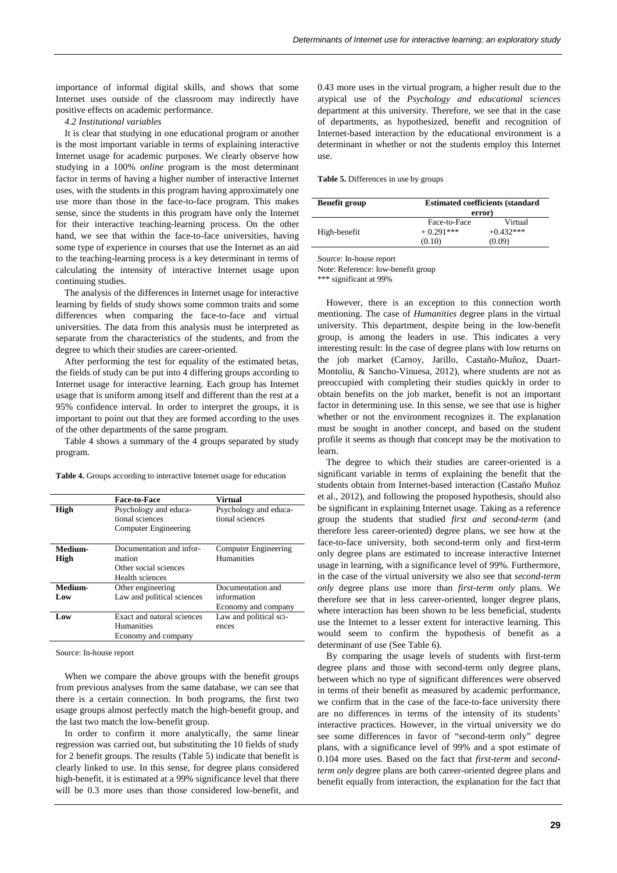importance of informal digital skills, and shows that some Internet uses outside of the classroom may indirectly have positive effects on academic performance.

*4.2 Institutional variables* 

It is clear that studying in one educational program or another is the most important variable in terms of explaining interactive Internet usage for academic purposes. We clearly observe how studying in a 100% *online* program is the most determinant factor in terms of having a higher number of interactive Internet uses, with the students in this program having approximately one use more than those in the face-to-face program. This makes sense, since the students in this program have only the Internet for their interactive teaching-learning process. On the other hand, we see that within the face-to-face universities, having some type of experience in courses that use the Internet as an aid to the teaching-learning process is a key determinant in terms of calculating the intensity of interactive Internet usage upon continuing studies.

The analysis of the differences in Internet usage for interactive learning by fields of study shows some common traits and some differences when comparing the face-to-face and virtual universities. The data from this analysis must be interpreted as separate from the characteristics of the students, and from the degree to which their studies are career-oriented.

After performing the test for equality of the estimated betas, the fields of study can be put into 4 differing groups according to Internet usage for interactive learning. Each group has Internet usage that is uniform among itself and different than the rest at a 95% confidence interval. In order to interpret the groups, it is important to point out that they are formed according to the uses of the other departments of the same program.

Table 4 shows a summary of the 4 groups separated by study program.

**Table 4.** Groups according to interactive Internet usage for education

|                 | <b>Face-to-Face</b>                                                            | <b>Virtual</b>                           |
|-----------------|--------------------------------------------------------------------------------|------------------------------------------|
| High            | Psychology and educa-<br>tional sciences<br>Computer Engineering               | Psychology and educa-<br>tional sciences |
| Medium-<br>High | Documentation and infor-<br>mation<br>Other social sciences<br>Health sciences | Computer Engineering<br>Humanities       |
| Medium-         | Other engineering                                                              | Documentation and                        |
| Low             | Law and political sciences                                                     | information                              |
|                 |                                                                                | Economy and company                      |
| Low             | Exact and natural sciences<br><b>Humanities</b><br>Economy and company         | Law and political sci-<br>ences          |

Source: In-house report

When we compare the above groups with the benefit groups from previous analyses from the same database, we can see that there is a certain connection. In both programs, the first two usage groups almost perfectly match the high-benefit group, and the last two match the low-benefit group.

In order to confirm it more analytically, the same linear regression was carried out, but substituting the 10 fields of study for 2 benefit groups. The results (Table 5) indicate that benefit is clearly linked to use. In this sense, for degree plans considered high-benefit, it is estimated at a 99% significance level that there will be 0.3 more uses than those considered low-benefit, and

0.43 more uses in the virtual program, a higher result due to the atypical use of the *Psychology and educational sciences* department at this university. Therefore, we see that in the case of departments, as hypothesized, benefit and recognition of Internet-based interaction by the educational environment is a determinant in whether or not the students employ this Internet use.

#### **Table 5.** Differences in use by groups

| <b>Benefit group</b> |              | <b>Estimated coefficients (standard)</b> |  |
|----------------------|--------------|------------------------------------------|--|
|                      | error)       |                                          |  |
|                      | Face-to-Face | Virtual                                  |  |
| High-benefit         | $+0.291***$  | $+0.432***$                              |  |
|                      | (0.10)       | (0.09)                                   |  |

Source: In-house report

Note: Reference: low-benefit group

\*\*\* significant at 99%

However, there is an exception to this connection worth mentioning. The case of *Humanities* degree plans in the virtual university. This department, despite being in the low-benefit group, is among the leaders in use. This indicates a very interesting result: In the case of degree plans with low returns on the job market (Carnoy, Jarillo, Castaño-Muñoz, Duart-Montoliu, & Sancho-Vinuesa, 2012), where students are not as preoccupied with completing their studies quickly in order to obtain benefits on the job market, benefit is not an important factor in determining use. In this sense, we see that use is higher whether or not the environment recognizes it. The explanation must be sought in another concept, and based on the student profile it seems as though that concept may be the motivation to learn.

The degree to which their studies are career-oriented is a significant variable in terms of explaining the benefit that the students obtain from Internet-based interaction (Castaño Muñoz et al., 2012), and following the proposed hypothesis, should also be significant in explaining Internet usage. Taking as a reference group the students that studied *first and second-term* (and therefore less career-oriented) degree plans, we see how at the face-to-face university, both second-term only and first-term only degree plans are estimated to increase interactive Internet usage in learning, with a significance level of 99%. Furthermore, in the case of the virtual university we also see that *second-term only* degree plans use more than *first-term only* plans. We therefore see that in less career-oriented, longer degree plans, where interaction has been shown to be less beneficial, students use the Internet to a lesser extent for interactive learning. This would seem to confirm the hypothesis of benefit as a determinant of use (See Table 6).

By comparing the usage levels of students with first-term degree plans and those with second-term only degree plans, between which no type of significant differences were observed in terms of their benefit as measured by academic performance, we confirm that in the case of the face-to-face university there are no differences in terms of the intensity of its students' interactive practices. However, in the virtual university we do see some differences in favor of "second-term only" degree plans, with a significance level of 99% and a spot estimate of 0.104 more uses. Based on the fact that *first-term* and *secondterm only* degree plans are both career-oriented degree plans and benefit equally from interaction, the explanation for the fact that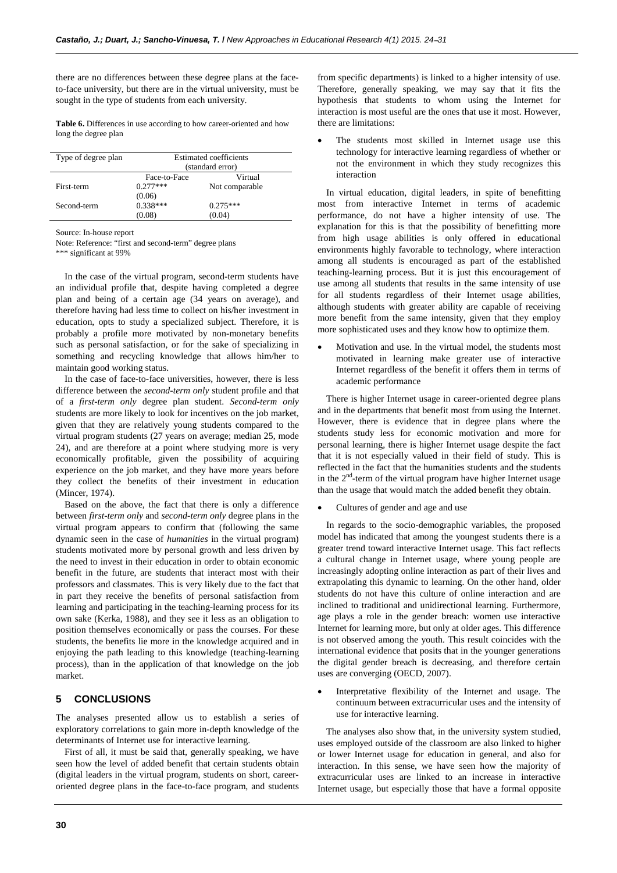there are no differences between these degree plans at the faceto-face university, but there are in the virtual university, must be sought in the type of students from each university.

**Table 6.** Differences in use according to how career-oriented and how long the degree plan

| Type of degree plan | <b>Estimated coefficients</b> |                |  |
|---------------------|-------------------------------|----------------|--|
|                     | (standard error)              |                |  |
|                     | Face-to-Face                  | Virtual        |  |
| First-term          | $0.277***$                    | Not comparable |  |
|                     | (0.06)                        |                |  |
| Second-term         | $0.338***$                    | $0.275***$     |  |
|                     | (0.08)                        | (0.04)         |  |

Source: In-house report

Note: Reference: "first and second-term" degree plans

\*\*\* significant at 99%

In the case of the virtual program, second-term students have an individual profile that, despite having completed a degree plan and being of a certain age (34 years on average), and therefore having had less time to collect on his/her investment in education, opts to study a specialized subject. Therefore, it is probably a profile more motivated by non-monetary benefits such as personal satisfaction, or for the sake of specializing in something and recycling knowledge that allows him/her to maintain good working status.

In the case of face-to-face universities, however, there is less difference between the *second-term only* student profile and that of a *first-term only* degree plan student. *Second-term only* students are more likely to look for incentives on the job market, given that they are relatively young students compared to the virtual program students (27 years on average; median 25, mode 24), and are therefore at a point where studying more is very economically profitable, given the possibility of acquiring experience on the job market, and they have more years before they collect the benefits of their investment in education (Mincer, 1974).

Based on the above, the fact that there is only a difference between *first-term only* and *second-term only* degree plans in the virtual program appears to confirm that (following the same dynamic seen in the case of *humanities* in the virtual program) students motivated more by personal growth and less driven by the need to invest in their education in order to obtain economic benefit in the future, are students that interact most with their professors and classmates. This is very likely due to the fact that in part they receive the benefits of personal satisfaction from learning and participating in the teaching-learning process for its own sake (Kerka, 1988), and they see it less as an obligation to position themselves economically or pass the courses. For these students, the benefits lie more in the knowledge acquired and in enjoying the path leading to this knowledge (teaching-learning process), than in the application of that knowledge on the job market.

## **5 CONCLUSIONS**

The analyses presented allow us to establish a series of exploratory correlations to gain more in-depth knowledge of the determinants of Internet use for interactive learning.

First of all, it must be said that, generally speaking, we have seen how the level of added benefit that certain students obtain (digital leaders in the virtual program, students on short, careeroriented degree plans in the face-to-face program, and students

from specific departments) is linked to a higher intensity of use. Therefore, generally speaking, we may say that it fits the hypothesis that students to whom using the Internet for interaction is most useful are the ones that use it most. However, there are limitations:

The students most skilled in Internet usage use this technology for interactive learning regardless of whether or not the environment in which they study recognizes this interaction

In virtual education, digital leaders, in spite of benefitting most from interactive Internet in terms of academic performance, do not have a higher intensity of use. The explanation for this is that the possibility of benefitting more from high usage abilities is only offered in educational environments highly favorable to technology, where interaction among all students is encouraged as part of the established teaching-learning process. But it is just this encouragement of use among all students that results in the same intensity of use for all students regardless of their Internet usage abilities, although students with greater ability are capable of receiving more benefit from the same intensity, given that they employ more sophisticated uses and they know how to optimize them.

Motivation and use. In the virtual model, the students most motivated in learning make greater use of interactive Internet regardless of the benefit it offers them in terms of academic performance

There is higher Internet usage in career-oriented degree plans and in the departments that benefit most from using the Internet. However, there is evidence that in degree plans where the students study less for economic motivation and more for personal learning, there is higher Internet usage despite the fact that it is not especially valued in their field of study. This is reflected in the fact that the humanities students and the students in the  $2<sup>nd</sup>$ -term of the virtual program have higher Internet usage than the usage that would match the added benefit they obtain.

• Cultures of gender and age and use

In regards to the socio-demographic variables, the proposed model has indicated that among the youngest students there is a greater trend toward interactive Internet usage. This fact reflects a cultural change in Internet usage, where young people are increasingly adopting online interaction as part of their lives and extrapolating this dynamic to learning. On the other hand, older students do not have this culture of online interaction and are inclined to traditional and unidirectional learning. Furthermore, age plays a role in the gender breach: women use interactive Internet for learning more, but only at older ages. This difference is not observed among the youth. This result coincides with the international evidence that posits that in the younger generations the digital gender breach is decreasing, and therefore certain uses are converging (OECD, 2007).

• Interpretative flexibility of the Internet and usage. The continuum between extracurricular uses and the intensity of use for interactive learning.

The analyses also show that, in the university system studied, uses employed outside of the classroom are also linked to higher or lower Internet usage for education in general, and also for interaction. In this sense, we have seen how the majority of extracurricular uses are linked to an increase in interactive Internet usage, but especially those that have a formal opposite